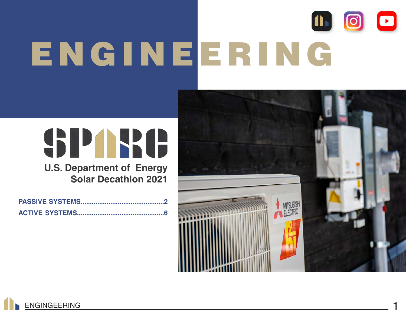# 1600 ENGINEERING

## SPARE **U.S. Department of Energy**

**Solar Decathlon 2021**



![](_page_0_Picture_5.jpeg)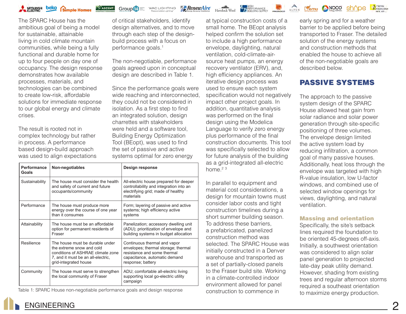![](_page_1_Picture_0.jpeg)

The SPARC House has the ambitious goal of being a model for sustainable, attainable living in cold climate mountain communities, while being a fully functional and durable home for up to four people on day one of occupancy. The design response demonstrates how available processes, materials, and technologies can be combined to create low-risk, affordable solutions for immediate response to our global energy and climate crises.

The result is rooted not in complex technology but rather in process. A performance based design-build approach was used to align expectations of critical stakeholders, identify design alternatives, and to move through each step of the designbuild process with a focus on performance goals.<sup>1</sup>

**RenewAire** 

**Group 4** WAC LIGHTING

The non-negotiable, performance goals agreed upon in conceptual design are described in Table 1.

Since the performance goals were wide reaching and interconnected, they could not be considered in isolation. As a first step to find an integrated solution, design charrettes with stakeholders were held and a software tool, Building Energy Optimization Tool (BEopt), was used to find the set of passive and active systems optimal for zero energy

| Performance<br>Goals | Non-negotiables                                                                                                                                                  | <b>Design response</b>                                                                                                                                   |
|----------------------|------------------------------------------------------------------------------------------------------------------------------------------------------------------|----------------------------------------------------------------------------------------------------------------------------------------------------------|
| Sustainability       | The house must consider the health<br>and safety of current and future<br>occupants/community                                                                    | All-electric house prepared for deeper<br>controllability and integration into an<br>electrifying grid; made of healthy<br>materials                     |
| Performance          | The house must produce more<br>energy over the course of one year<br>than it consumes                                                                            | Form; layering of passive and active<br>systems; high efficiency active<br>systems                                                                       |
| Attainability        | The house must be an affordable<br>option for permanent residents of<br>Fraser                                                                                   | Panelization; accessory dwelling unit<br>(ADU); prioritization of envelope and<br>building systems in budget allocation                                  |
| Resilience           | The house must be durable under<br>the extreme snow and cold<br>conditions of ASHRAE climate zone<br>7, and it must be an all-electric,<br>grid-integrated house | Continuous thermal and vapor<br>envelopes; thermal storage; thermal<br>resistance and some thermal<br>capacitance, automatic demand<br>response; battery |
| Community            | The house must serve to strengthen<br>the local community of Fraser                                                                                              | ADU; comfortable all-electric living<br>supporting local go-electric utility<br>campaign                                                                 |

Table 1: SPARC House non-negotiable performance goals and design response

at typical construction costs of a small home. The BEopt analysis helped confirm the solution set to include a high performance envelope, daylighting, natural ventilation, cold-climate-airsource heat pumps, an energy recovery ventilator (ERV), and, high efficiency appliances. An iterative design process was used to ensure each system specification would not negatively impact other project goals. In addition, quantitative analysis was performed on the final design using the Modelica Language to verify zero energy plus performance of the final construction documents. This tool was specifically selected to allow for future analysis of the building as a grid-integrated all-electric home. $2^3$ 

47 TERREDRMANDE

ALPEN

In parallel to equipment and material cost considerations, a design for mountain towns must consider labor costs and tight construction timelines during a short summer building season. To address these barriers, a prefabricated, panelized construction method was selected. The SPARC House was initially constructed in a Denver warehouse and transported as a set of partially-closed panels to the Fraser build site. Working in a climate-controlled indoor environment allowed for panel construction to commence in

early spring and for a weather barrier to be applied before being transported to Fraser. The detailed solution of the energy systems and construction methods that enabled the house to achieve all of the non-negotiable goals are described below.

sh^ne

Liemu NOCO

ACTIVE

#### PASSIVE SYSTEMS

The approach to the passive system design of the SPARC House allowed heat gain from solar radiance and solar power generation through site-specific positioning of three volumes. The envelope design limited the active system load by reducing infiltration, a common goal of many passive houses. Additionally, heat loss through the envelope was targeted with high R-value insulation, low U-factor windows, and combined use of selected window openings for views, daylighting, and natural ventilation.

#### Massing and orientation

Specifically, the site's setback lines required the foundation to be oriented 45-degrees off-axis. Initially, a southwest orientation was considered to align solar panel generation to projected late-day peak utility demand. However, shading from existing trees and regular afternoon storms required a southeast orientation to maximize energy production.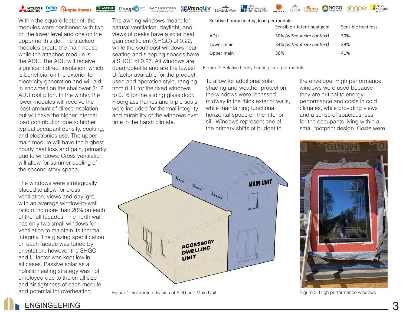![](_page_2_Picture_0.jpeg)

**Group 14** Strange WAC LIGHTING

**RenewAire** 

**47 HIGH**<br>**17 BERFORMANCE** Havelock Wool

![](_page_2_Picture_4.jpeg)

ACTIVE

Within the square footprint, the modules were positioned with two on the lower level and one on the upper north side. The stacked modules create the main house while the attached module is the ADU. The ADU will receive significant direct insolation, which is beneficial on the exterior for electricity generation and will aid in snowmelt on the shallower 3:12 ADU roof pitch. In the winter, the lower modules will receive the least amount of direct insolation but will have the higher internal load contribution due to higher typical occupant density, cooking, and electronics use. The upper main module will have the highest hourly heat loss and gain, primarily due to windows. Cross ventilation will allow for summer cooling of the second story space.

The windows were strategically placed to allow for cross ventilation, views and daylight, with an average window-to-wall ratio of no more than 20% on each of the full facades. The north wall has only two small windows for ventilation to maintain its thermal integrity. The glazing specification on each facade was tuned by orientation, however the SHGC and U-factor was kept low in all cases. Passive solar as a holistic heating strategy was not employed due to the small size and air tightness of each module and potential for overheating.

The awning windows meant for natural ventilation, daylight, and views of peaks have a solar heat gain coefficient (SHGC) of 0.22, while the southeast windows near seating and sleeping spaces have a SHGC of 0.27. All windows are quadruple-lite and are the lowest U-factor available for the product used and operation style, ranging from 0.11 for the fixed windows to 0.16 for the sliding glass door. Fiberglass frames and triple seals were included for thermal integrity and durability of the windows over time in the harsh climate.

Relative hourly heating load per module

| 30% (without site context)<br>ADU               | Sensible heat loss |
|-------------------------------------------------|--------------------|
|                                                 | 30%                |
| 34% (without site context)<br>29%<br>Lower main |                    |
| 36%<br>41%<br>Upper main                        |                    |

Figure 2: Relative hourly heating load per module

To allow for additional solar shading and weather protection, the windows were recessed midway in the thick exterior walls, while maintaining functional horizontal space on the interior sill. Windows represent one of the primary shifts of budget to

the envelope. High performance windows were used because they are critical to energy performance and costs in cold climates, while providing views and a sense of spaciousness for the occupants living within a small footprint design. Costs were

![](_page_2_Figure_14.jpeg)

Figure 1: Volumetric division of ADU and Main Unit Figure 3: High performance windows

![](_page_2_Picture_16.jpeg)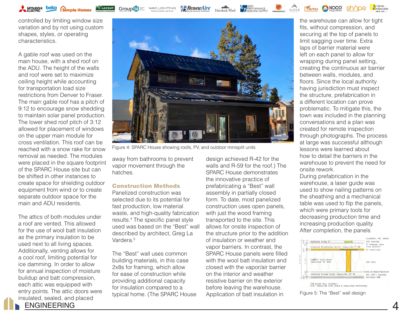controlled by limiting window size variation and by not using custom shapes, styles, or operating characteristics.

Simple Homes

MITSUBISHI **beko** 

A gable roof was used on the main house, with a shed roof on the ADU. The height of the walls and roof were set to maximize ceiling height while accounting for transportation load size restrictions from Denver to Fraser. The main gable roof has a pitch of 9:12 to encourage snow shedding to maintain solar panel production. The lower shed roof pitch of 3:12 allowed for placement of windows on the upper main module for cross ventilation. This roof can be reached with a snow rake for snow removal as needed. The modules were placed in the square footprint of the SPARC House site but can be shifted in other instances to create space for shielding outdoor equipment from wind or to create separate outdoor space for the main and ADU residents.

ENGINEERING 4 The attics of both modules under a roof are vented. This allowed for the use of wool batt insulation as the primary insulation to be used next to all living spaces. Additionally, venting allows for a cool roof, limiting potential for ice damming. In order to allow for annual inspection of moisture buildup and batt compression, each attic was equipped with entry points. The attic doors were insulated, sealed, and placed

![](_page_3_Picture_3.jpeg)

**Za RenewAire** 

Figure 4: SPARC House showing roofs, PV, and outdoor minisplit units

away from bathrooms to prevent vapor movement through the hatches.

**WAC LIGHTING** 

Group<sup>14</sup>

#### Construction Methods

Panelized construction was selected due to its potential for fast production, low material waste, and high-quality fabrication results.4 The specific panel style used was based on the "Best" wall described by architect, Greg La Vardera.<sup>5</sup>

The "Best" wall uses common building materials, in this case 2x8s for framing, which allow for ease of construction while providing additional capacity for insulation compared to a typical home. (The SPARC House design achieved R-42 for the walls and R-59 for the roof.) The SPARC House demonstrates the innovative practice of prefabricating a "Best" wall assembly in partially closed form. To date, most panelized construction uses open panels, with just the wood framing transported to the site. This allows for onsite inspection of the structure prior to the addition of insulation or weather and vapor barriers. In contrast, the SPARC House panels were filled with the wool batt insulation and closed with the vapor/air barrier on the interior and weather resistive barrier on the exterior before leaving the warehouse. Application of batt insulation in

the warehouse can allow for tight fits, without compression, and securing at the top of panels to limit sagging over time. Extra laps of barrier material were left on each panel to allow for wrapping during panel setting, creating the continuous air barrier between walls, modules, and floors. Since the local authority having jurisdiction must inspect the structure, prefabrication in a different location can prove problematic. To mitigate this, the town was included in the planning conversations and a plan was created for remote inspection through photographs. The process at large was successful although lessons were learned about how to detail the barriers in the warehouse to prevent the need for onsite rework.

Liemu NOCO

ACTIVE<br>ENERGIES

During prefabrication in the warehouse, a laser guide was used to show nailing patterns on the sheathing and a mechanical table was used to flip the panels, which were primary tools for decreasing production time and increasing production quality. After completion, the panels

![](_page_3_Figure_12.jpeg)

Figure 5: The "Best" wall design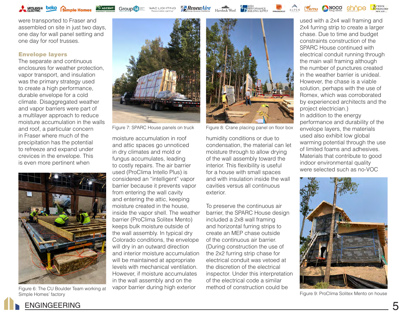MTSUBISHI **beko** Simple Homes

**Group 14** WAC LIGHTING

**ASCENTI** 

*ARenewAire* 

Havelock Wool **THERE ORMANCE** 

![](_page_4_Picture_4.jpeg)

were transported to Fraser and assembled on site in just two days, one day for wall panel setting and one day for roof trusses.

#### Envelope layers

The separate and continuous enclosures for weather protection, vapor transport, and insulation was the primary strategy used to create a high performance, durable envelope for a cold climate. Disaggregated weather and vapor barriers were part of a multilayer approach to reduce moisture accumulation in the walls and roof, a particular concern in Fraser where much of the precipitation has the potential to refreeze and expand under crevices in the envelope. This is even more pertinent when

![](_page_4_Picture_8.jpeg)

Figure 6: The CU Boulder Team working at Simple Homes' factory

![](_page_4_Picture_10.jpeg)

Figure 7: SPARC House panels on truck

moisture accumulation in roof and attic spaces go unnoticed in dry climates and mold or fungus accumulates, leading to costly repairs. The air barrier used (ProClima Intello Plus) is considered an "intelligent" vapor barrier because it prevents vapor from entering the wall cavity and entering the attic, keeping moisture created in the house, inside the vapor shell. The weather barrier (ProClima Solitex Mento) keeps bulk moisture outside of the wall assembly. In typical dry Colorado conditions, the envelope will dry in an outward direction and interior moisture accumulation will be maintained at appropriate levels with mechanical ventilation. However, if moisture accumulates in the wall assembly and on the vapor barrier during high exterior

![](_page_4_Picture_13.jpeg)

Figure 8: Crane placing panel on floor box

humidity conditions or due to condensation, the material can let moisture through to allow drying of the wall assembly toward the interior. This flexibility is useful for a house with small spaces and with insulation inside the wall cavities versus all continuous exterior.

To preserve the continuous air barrier, the SPARC House design included a 2x8 wall framing and horizontal furring strips to create an MEP chase outside of the continuous air barrier. (During construction the use of the 2x2 furring strip chase for electrical conduit was vetoed at the discretion of the electrical inspector. Under this interpretation of the electrical code a similar method of construction could be

used with a 2x4 wall framing and 2x4 furring strip to create a larger chase. Due to time and budget constraints construction of the SPARC House continued with electrical conduit running through the main wall framing although the number of punctures created in the weather barrier is unideal. However, the chase is a viable solution, perhaps with the use of Romex, which was corroborated by experienced architects and the project electrician.) In addition to the energy performance and durability of the envelope layers, the materials used also exhibit low global warming potential through the use of limited foams and adhesives. Materials that contribute to good indoor environmental quality were selected such as no-VOC

![](_page_4_Picture_18.jpeg)

Figure 9: ProClima Solitex Mento on house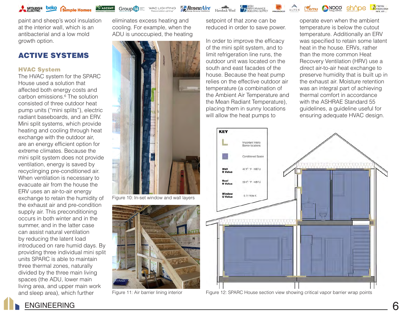![](_page_5_Picture_0.jpeg)

Group<sup>14</sup> WAC LIGHTING

paint and sheep's wool insulation at the interior wall, which is an antibacterial and a low mold growth option.

#### ACTIVE SYSTEMS

#### HVAC System

The HVAC system for the SPARC House used a solution that affected both energy costs and carbon emissions.<sup>6</sup> The solution consisted of three outdoor heat pump units ("mini splits"), electric radiant baseboards, and an ERV. Mini split systems, which provide heating and cooling through heat exchange with the outdoor air, are an energy efficient option for extreme climates. Because the mini split system does not provide ventilation, energy is saved by recyclinging pre-conditioned air. When ventilation is necessary to evacuate air from the house the ERV uses an air-to-air energy exchange to retain the humidity of the exhaust air and pre-condition supply air. This preconditioning occurs in both winter and in the summer, and in the latter case can assist natural ventilation by reducing the latent load introduced on rare humid days. By providing three individual mini split units SPARC is able to maintain three thermal zones, naturally divided by the three main living spaces (the ADU, lower main living area, and upper main work and sleep area), which further

eliminates excess heating and cooling. For example, when the ADU is unoccupied, the heating

**RenewAire** 

![](_page_5_Picture_7.jpeg)

Figure 10: In-set window and wall layers

![](_page_5_Picture_9.jpeg)

setpoint of that zone can be reduced in order to save power.

475 PERFORMANCE

In order to improve the efficacy of the mini split system, and to limit refrigeration line runs, the outdoor unit was located on the south and east facades of the house. Because the heat pump relies on the effective outdoor air temperature (a combination of the Ambient Air Temperature and the Mean Radiant Temperature), placing them in sunny locations will allow the heat pumps to

operate even when the ambient temperature is below the cutout temperature. Additionally an ERV was specified to retain some latent heat in the house. ERVs, rather than the more common Heat Recovery Ventilation (HRV) use a direct air-to-air heat exchange to preserve humidity that is built up in the exhaust air. Moisture retention was an integral part of achieving thermal comfort in accordance with the ASHRAF Standard 55 guidelines, a guideline useful for ensuring adequate HVAC design.

ALPEN **L'emu CNOCO** shope

ACTIVE

![](_page_5_Figure_14.jpeg)

Figure 11: Air barrier lining interior Figure 12: SPARC House section view showing critical vapor barrier wrap points

![](_page_5_Picture_16.jpeg)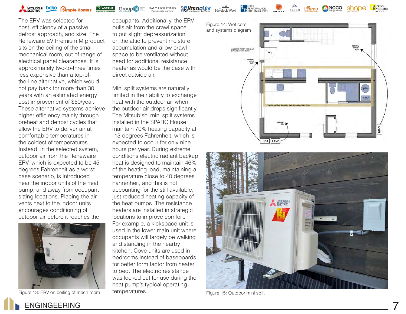![](_page_6_Picture_0.jpeg)

**Group 14** WAC LIGHTING **ASCENT** 

*ARenewAire* 

Havelock Wool

**THE PERFORMANCE** 

ACTIVE ALPEN **L'emu (NOCO sh^ne** 

The ERV was selected for cost, efficiency of a passive defrost approach, and size. The Renewaire EV Premium M product sits on the ceiling of the small mechanical room, out of range of electrical panel clearances. It is approximately two-to-three times less expensive than a top-ofthe-line alternative, which would not pay back for more than 30 years with an estimated energy cost improvement of \$50/year. These alternative systems achieve higher efficiency mainly through preheat and defrost cycles that allow the ERV to deliver air at comfortable temperatures in the coldest of temperatures. Instead, in the selected system, outdoor air from the Renewaire ERV, which is expected to be 45 degrees Fahrenheit as a worst case scenario, is introduced near the indoor units of the heat pump, and away from occupant sitting locations. Placing the air vents next to the indoor units encourages conditioning of outdoor air before it reaches the

![](_page_6_Picture_7.jpeg)

occupants. Additionally, the ERV pulls air from the crawl space to put slight depressurization on the attic to prevent moisture accumulation and allow crawl space to be ventilated without need for additional resistance heater as would be the case with direct outside air.

Mini split systems are naturally limited in their ability to exchange heat with the outdoor air when the outdoor air drops significantly. The Mitsubishi mini split systems installed in the SPARC House maintain 70% heating capacity at -13 degrees Fahrenheit, which is expected to occur for only nine hours per year. During extreme conditions electric radiant backup heat is designed to maintain 46% of the heating load, maintaining a temperature close to 40 degrees Fahrenheit, and this is not accounting for the still available, just reduced heating capacity of the heat pumps. The resistance heaters are installed in strategic locations to improve comfort. For example, a kickspace unit is used in the lower main unit where occupants will largely be walking and standing in the nearby kitchen. Cove units are used in bedrooms instead of baseboards for better form factor from heater to bed. The electric resistance was locked out for use during the heat pump's typical operating temperatures. Figure 13: ERV on ceiling of mech room temperatures. The state of the Figure 15: Outdoor mini split

![](_page_6_Figure_11.jpeg)

![](_page_6_Picture_12.jpeg)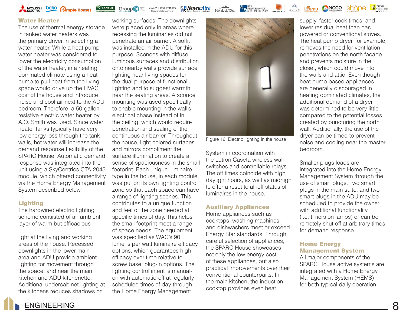![](_page_7_Picture_0.jpeg)

#### Water Heater

The use of thermal energy storage in tanked water heaters was the primary driver in selecting a water heater. While a heat pump water heater was considered to lower the electricity consumption of the water heater, in a heating dominated climate using a heat pump to pull heat from the living space would drive up the HVAC cost of the house and introduce noise and cool air next to the ADU bedroom. Therefore, a 50-gallon resistive electric water heater by A.O. Smith was used. Since water heater tanks typically have very low energy loss through the tank walls, hot water will increase the demand response flexibility of the SPARC House. Automatic demand response was integrated into the unit using a SkyCentrics CTA-2045 module, which offered connectivity via the Home Energy Management System described below.

#### Lighting

The hardwired electric lighting scheme consisted of an ambient layer of warm but efficacious

light at the living and working areas of the house. Recessed downlights in the lower main area and ADU provide ambient lighting for movement through the space, and near the main kitchen and ADU kitchenette. Additional undercabinet lighting at the kitchens reduces shadows on

working surfaces. The downlights were placed only in areas where recessing the luminaries did not penetrate an air barrier. A soffit was installed in the ADU for this purpose. Sconces with diffuse, luminous surfaces and distribution onto nearby walls provide surface lighting near living spaces for the dual purpose of functional lighting and to suggest warmth near the seating areas. A sconce mounting was used specifically to enable mounting in the wall's electrical chase instead of in the ceiling, which would require penetration and sealing of the continuous air barrier. Throughout the house, light colored surfaces and mirrors compliment the surface illumination to create a sense of spaciousness in the small footprint. Each unique luminaire type in the house, in each module, was put on its own lighting control zone so that each space can have a range of lighting scenes. This contributes to a unique function and feel of the zone needed at specific times of day. This helps the small footprint meet a range of space needs. The equipment was specified as WAC's 90 lumens per watt luminaire efficacy options, which guarantees high efficacy over time relative to screw base, plug-in options. The lighting control intent is manualon with automatic-off at regularly scheduled times of day through

the Home Energy Management

![](_page_7_Picture_7.jpeg)

**4** 75 PERFORMANCE

ALPEN

Liemu NOCO

**RenewAire** 

WAC LIGHTING

Group 14

Figure 16: Electric lighting in the house

System in coordination with the Lutron Caseta wireless wall switches and controllable relays. The off times coincide with high daylight hours, as well as midnight to offer a reset to all-off status of luminaires in the house.

#### Auxiliary Appliances

Home appliances such as cooktops, washing machines, and dishwashers meet or exceed Energy Star standards. Through careful selection of appliances, the SPARC House showcases not only the low energy cost of these appliances, but also practical improvements over their conventional counterparts. In the main kitchen, the induction cooktop provides even heat

supply, faster cook times, and lower residual heat than gas powered or conventional stoves. The heat pump dryer, for example, removes the need for ventilation penetrations on the north facade and prevents moisture in the closet, which could move into the walls and attic. Even though heat pump based appliances are generally discouraged in heating dominated climates, the additional demand of a dryer was determined to be very little compared to the potential losses created by puncturing the north wall. Additionally, the use of the dryer can be timed to prevent noise and cooling near the master bedroom.

ACTIVE ENERGIES

Smaller plugs loads are integrated into the Home Energy Management System through the use of smart plugs. Two smart plugs in the main suite, and two smart plugs in the ADU may be scheduled to provide the owner with additional functionality (i.e. timers on lamps) or can be remotely shut off at arbitrary times for demand response.

#### Home Energy Management System

All major components of the SPARC House active systems are integrated with a Home Energy Management System (HEMS) for both typical daily operation

![](_page_7_Picture_16.jpeg)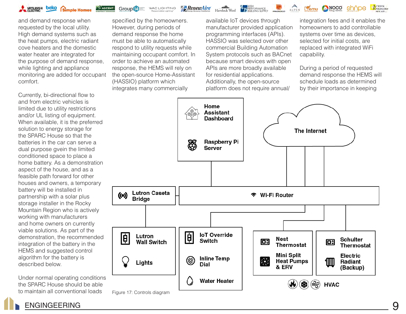![](_page_8_Picture_0.jpeg)

**Group 14** 

**ASCENT** 

*ARenewAire* 

ALPEN LIEMU CINOCO Shope

and demand response when requested by the local utility. High demand systems such as the heat pumps, electric radiant cove heaters and the domestic water heater are integrated for the purpose of demand response, while lighting and appliance monitoring are added for occupant comfort.

Currently, bi-directional flow to and from electric vehicles is limited due to utility restrictions and/or UL listing of equipment. When available, it is the preferred solution to energy storage for the SPARC House so that the batteries in the car can serve a dual purpose gvein the limited conditioned space to place a home battery. As a demonstration aspect of the house, and as a feasible path forward for other houses and owners, a temporary battery will be installed in partnership with a solar plus storage installer in the Rocky Mountain Region who is actively working with manufacturers and home owners on currently viable solutions. As part of the demonstration, the recommended integration of the battery in the HEMS and suggested control algorithm for the battery is described below.

Under normal operating conditions the SPARC House should be able to maintain all conventional loads

specified by the homeowners. However, during periods of demand response the home must be able to automatically respond to utility requests while maintaining occupant comfort. In order to achieve an automated response, the HEMS will rely on the open-source Home-Assistant (HASSIO) platform which integrates many commercially

available IoT devices through manufacturer provided application programming interfaces (APIs). HASSIO was selected over other commercial Building Automation System protocols such as BACnet because smart devices with open APIs are more broadly available for residential applications. Additionally, the open-source platform does not require annual/

Havelock Wool **4 HIGH** 

integration fees and it enables the homeowners to add controllable systems over time as devices, selected for initial costs, are replaced with integrated WiFi capability.

ACTIVE

During a period of requested demand response the HEMS will schedule loads as determined by their importance in keeping

![](_page_8_Figure_11.jpeg)

Figure 17: Controls diagram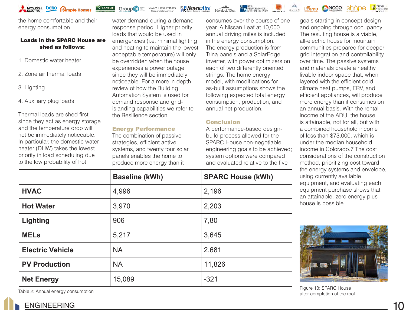![](_page_9_Picture_0.jpeg)

the home comfortable and their energy consumption.

#### Loads in the SPARC House are shed as follows:

- 1. Domestic water heater
- 2. Zone air thermal loads
- 3. Lighting
- 4. Auxiliary plug loads

Thermal loads are shed first since they act as energy storage and the temperature drop will not be immediately noticeable. In particular, the domestic water heater (DHW) takes the lowest priority in load scheduling due to the low probability of hot

water demand during a demand response period. Higher priority loads that would be used in emergencies (i.e. minimal lighting and heating to maintain the lowest acceptable temperature) will only be overridden when the house experiences a power outage since they will be immediately noticeable. For a more in depth review of how the Building Automation System is used for demand response and gridislanding capabilities we refer to the Resilience section.

WAC LIGHTING

Group<sup>14</sup>

#### Energy Performance

The combination of passive strategies, efficient active systems, and twenty four solar panels enables the home to produce more energy than it

consumes over the course of one year. A Nissan Leaf at 10,000 annual driving miles is included in the energy consumption. The energy production is from Trina panels and a SolarEdge inverter, with power optimizers on each of two differently oriented strings. The home energy model, with modifications for as-built assumptions shows the following expected total energy consumption, production, and annual net production.

**17 PERFORMANCE** 

#### **Conclusion**

**RenewAire** 

A performance-based designbuild process allowed for the SPARC House non-negotiable engineering goals to be achieved; system options were compared and evaluated relative to the five

and ongoing through occupancy. The resulting house is a viable, all-electric house for mountain communities prepared for deeper grid integration and controllability over time. The passive systems and materials create a healthy, livable indoor space that, when layered with the efficient cold climate heat pumps, ERV, and efficient appliances, will produce more energy than it consumes on an annual basis. With the rental income of the ADU, the house is attainable, not for all, but with a combined household income of less than \$73,000, which is under the median household income in Colorado.7 The cost considerations of the construction method, prioritizing cost toward the energy systems and envelope, using currently available equipment, and evaluating each equipment purchase shows that an attainable, zero energy plus house is possible.

goals starting in concept design

sh^ne

NOCO

 $A$ 

Lemu

ACTIVE

![](_page_9_Picture_15.jpeg)

Table 2: Annual energy consumption The Contract of the Table 2: Annual energy consumption Figure 18: SPARC House after completion of the roof

|                         | <b>Baseline (kWh)</b> | <b>SPARC House (kWh)</b> |
|-------------------------|-----------------------|--------------------------|
| <b>HVAC</b>             | 4,996                 | 2,196                    |
| <b>Hot Water</b>        | 3,970                 | 2,203                    |
| <b>Lighting</b>         | 906                   | 7,80                     |
| <b>MELs</b>             | 5,217                 | 3,645                    |
| <b>Electric Vehicle</b> | <b>NA</b>             | 2,681                    |
| <b>PV Production</b>    | <b>NA</b>             | 11,826                   |
| <b>Net Energy</b>       | 15,089                | $-321$                   |

### ENGINEERING 10